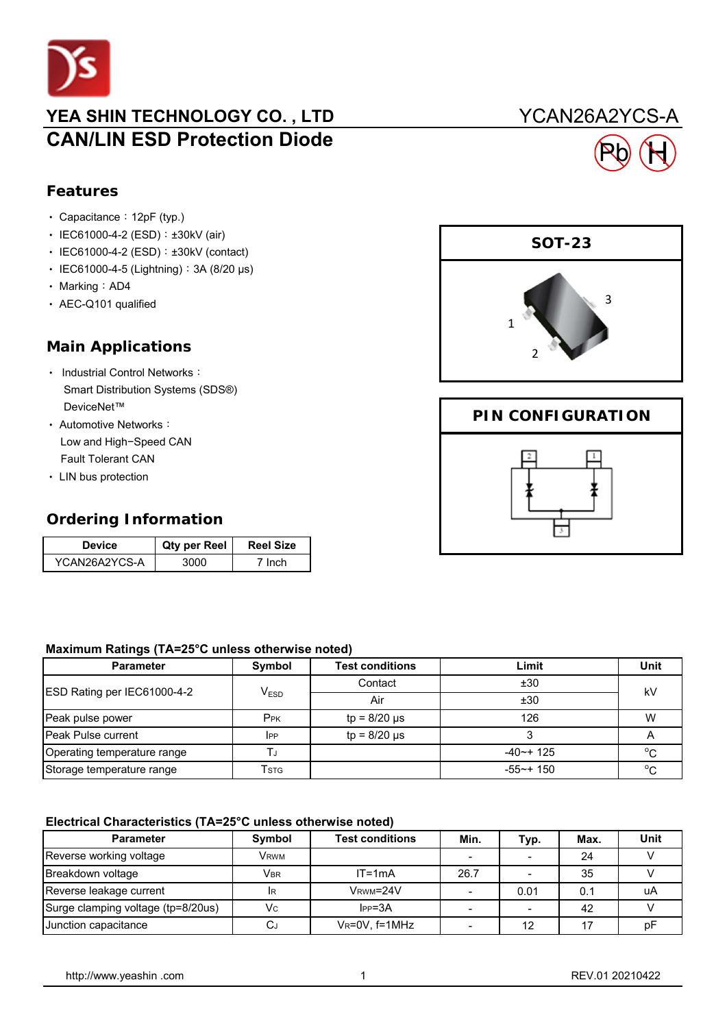

# YEA SHIN TECHNOLOGY CO., LTD YCAN26A2YCS-A **CAN/LIN ESD Protection Diode**

## **Features**

- Capacitance: 12pF (typ.)
- IEC61000-4-2 (ESD): ±30kV (air)
- IEC61000-4-2 (ESD): ±30kV (contact)
- ‧ IEC61000-4-5 (Lightning):3A (8/20 μs)
- Marking: AD4
- ‧ AEC-Q101 qualified

## **Main Applications**

- Industrial Control Networks: Smart Distribution Systems (SDS®) DeviceNet™
- ‧ Automotive Networks: Low and High−Speed CAN Fault Tolerant CAN
- ‧ LIN bus protection

## **Ordering Information**

| Device        | Qty per Reel | <b>Reel Size</b> |
|---------------|--------------|------------------|
| YCAN26A2YCS-A |              | <b>Inch</b>      |

#### **Maximum Ratings (TA=25°C unless otherwise noted)**

| <b>Parameter</b>            | Symbol           | <b>Test conditions</b> | Limit           | Unit         |  |
|-----------------------------|------------------|------------------------|-----------------|--------------|--|
| ESD Rating per IEC61000-4-2 | V <sub>ESD</sub> | Contact                | ±30             | kV           |  |
|                             |                  | Air                    | ±30             |              |  |
| Peak pulse power            | P <sub>PK</sub>  | $tp = 8/20 \mu s$      | 126             | W            |  |
| <b>Peak Pulse current</b>   | $_{\rm lPP}$     | $tp = 8/20 \mu s$      |                 |              |  |
| Operating temperature range |                  |                        | $-40$ $-$ + 125 | $^{\circ}$ C |  |
| Storage temperature range   | Tstg             |                        | $-55$ ~+ 150    | $\circ$      |  |

#### **Electrical Characteristics (TA=25°C unless otherwise noted)**

| <b>Parameter</b>                   | <b>Symbol</b>           | <b>Test conditions</b> | Min. | Typ. | Max. | <b>Unit</b> |
|------------------------------------|-------------------------|------------------------|------|------|------|-------------|
| Reverse working voltage            | <b>V</b> <sub>RWM</sub> |                        |      |      | 24   |             |
| Breakdown voltage                  | <b>VBR</b>              | $IT = 1mA$             | 26.7 |      | 35   |             |
| Reverse leakage current            | <b>IR</b>               | VRWM=24V               |      | 0.01 | 0.1  | uA          |
| Surge clamping voltage (tp=8/20us) | Vc                      | $IPP = 3A$             |      |      | 42   |             |
| Junction capacitance               | لىر                     | VR=0V, f=1MHz          |      | 12   |      | рF          |



Pb H

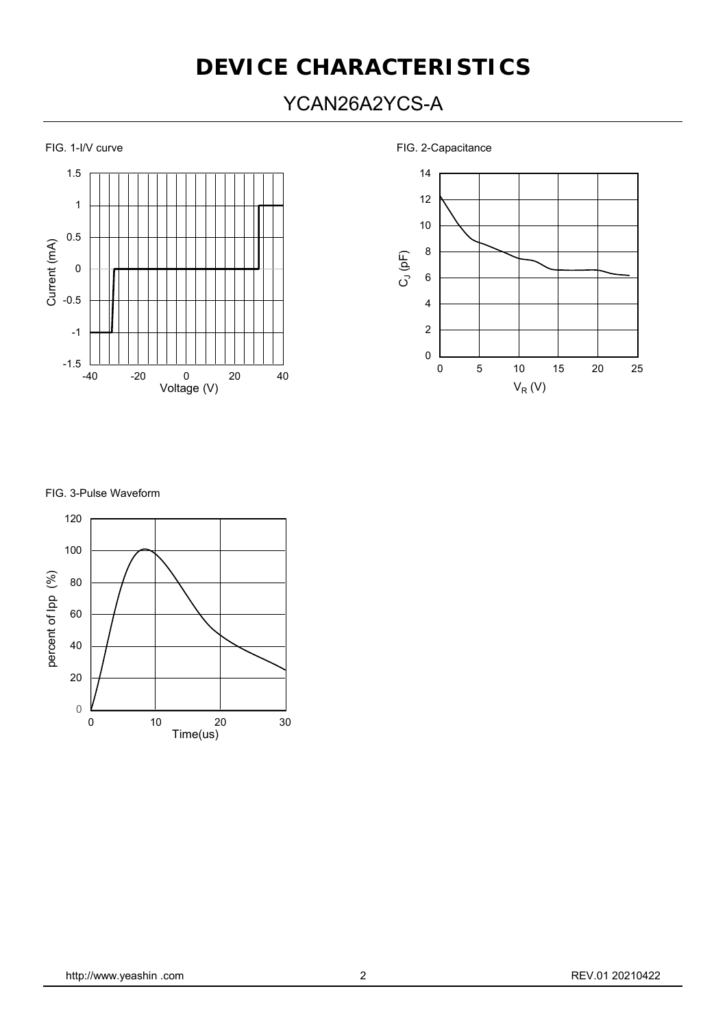# **DEVICE CHARACTERISTICS**

# YCAN26A2YCS-A



FIG. 1-I/V curve **FIG.** 2-Capacitance





FIG. 3-Pulse Waveform